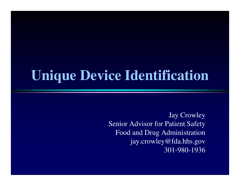## **Unique Device Identification**

Jay Crowley Senior Advisor for Patient Safety Food and Drug Administration jay.crowley@fda.hhs.gov301-980-1936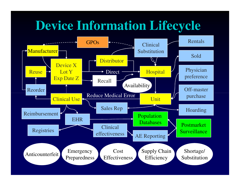## **Device Information Lifecycle**

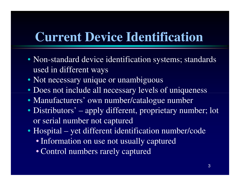## **Current Device Identification**

- Non-standard device identification systems; standards used in different ways
- Not necessary unique or unambiguous
- Does not include all necessary levels of uniqueness
- Manufacturers' own number/catalogue number
- Distributors' apply different, proprietary number; lot or serial number not captured
- Hospital yet different identification number/code
	- Information on use not usually captured
	- Control numbers rarely captured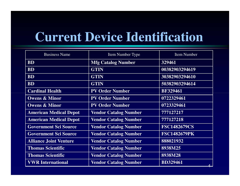## **Current Device Identification**

| <b>Business Name</b>          | <b>Item Number Type</b>      | <b>Item Number</b>  |
|-------------------------------|------------------------------|---------------------|
| <b>BD</b>                     | <b>Mfg Catalog Number</b>    | 329461              |
| <b>BD</b>                     | <b>GTIN</b>                  | 00382903294619      |
| <b>BD</b>                     | <b>GTIN</b>                  | 30382903294610      |
| <b>BD</b>                     | <b>GTIN</b>                  | 50382903294614      |
| <b>Cardinal Health</b>        | <b>PV Order Number</b>       | <b>BF329461</b>     |
| <b>Owens &amp; Minor</b>      | <b>PV Order Number</b>       | 0722329461          |
| <b>Owens &amp; Minor</b>      | <b>PV Order Number</b>       | 0723329461          |
| <b>American Medical Depot</b> | <b>Vendor Catalog Number</b> | 777127217           |
| <b>American Medical Depot</b> | <b>Vendor Catalog Number</b> | 777127218           |
| <b>Government Sci Source</b>  | <b>Vendor Catalog Number</b> | <b>FSC1482679CS</b> |
| <b>Government Sci Source</b>  | <b>Vendor Catalog Number</b> | <b>FSC1482679PK</b> |
| <b>Alliance Joint Venture</b> | <b>Vendor Catalog Number</b> | 888021932           |
| <b>Thomas Scientific</b>      | <b>Vendor Catalog Number</b> | 8938M25             |
| <b>Thomas Scientific</b>      | <b>Vendor Catalog Number</b> | 8938M28             |
| <b>VWR</b> International      | <b>Vendor Catalog Number</b> | <b>BD329461</b>     |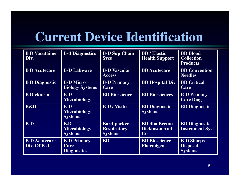## **Current Device Identification**

| <b>B D Vacutainer</b><br>Div.       | <b>B-d Diagnostics</b>                               | <b>B-D Sup Chain</b><br><b>Svcs</b>                        | <b>BD</b> / Elastic<br><b>Health Support</b>       | <b>BD</b> Blood<br><b>Collection</b><br><b>Products</b> |
|-------------------------------------|------------------------------------------------------|------------------------------------------------------------|----------------------------------------------------|---------------------------------------------------------|
| <b>B D Acutecare</b>                | <b>B-D Labware</b>                                   | <b>B-D Vascular</b><br><b>Access</b>                       | <b>BD</b> Acutecare                                | <b>BD</b> Convention<br><b>Needles</b>                  |
| <b>B D Diagnostic</b>               | <b>B-D</b> Micro<br><b>Biology Systems</b>           | <b>B-D Primary</b><br><b>Care</b>                          | <b>BD</b> Hospital Div                             | <b>BD</b> Critical<br>Care                              |
| <b>B</b> Dickinson                  | $B-D$<br><b>Microbiology</b>                         | <b>BD</b> Bioscience                                       | <b>BD Biosciences</b>                              | <b>B-D Primary</b><br><b>Care Diag</b>                  |
| <b>B&amp;D</b>                      | $B-D$<br><b>Microbiology</b><br><b>Systems</b>       | <b>B-D/Visitec</b>                                         | <b>BD</b> Diagnostic<br><b>Systems</b>             | <b>BD</b> Diagnostic                                    |
| $B-D$                               | <b>B.D.</b><br><b>Microbiology</b><br><b>Systems</b> | <b>Bard-parker</b><br><b>Respiratory</b><br><b>Systems</b> | <b>BD</b> dba Becton<br><b>Dickinson And</b><br>Co | <b>BD</b> Diagnostic<br><b>Instrument Syst</b>          |
| <b>B-D</b> Acutecare<br>Div. Of B-d | <b>B-D Primary</b><br>Care<br><b>Diagnostics</b>     | <b>BD</b>                                                  | <b>BD</b> Bioscience<br><b>Pharmigen</b>           | <b>B-D</b> Sharps<br><b>Disposal</b><br><b>Systems</b>  |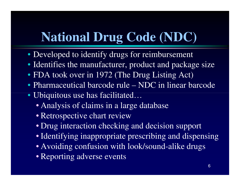## **National Drug Code (NDC)**

- Developed to identify drugs for reimbursement
- Identifies the manufacturer, product and package size
- FDA took over in 1972 (The Drug Listing Act)
- Pharmaceutical barcode rule NDC in linear barcode
- Ubiquitous use has facilitated…
	- Analysis of claims in a large database
	- Retrospective chart review
	- Drug interaction checking and decision support
	- Identifying inappropriate prescribing and dispensing
	- Avoiding confusion with look/sound-alike drugs
	- Reporting adverse events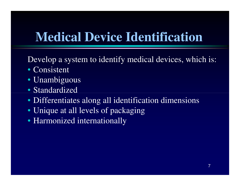## **Medical Device Identification**

Develop a system to identify medical devices, which is:

- Consistent
- Unambiguous
- Standardized
- Differentiates along all identification dimensions
- Unique at all levels of packaging
- Harmonized internationally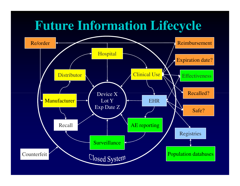#### **Future Information Lifecycle**

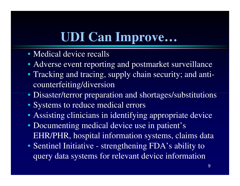## **UDI Can Improve…**

- Medical device recalls
- Adverse event reporting and postmarket surveillance
- Tracking and tracing, supply chain security; and anticounterfeiting/diversion
- Disaster/terror preparation and shortages/substitutions
- Systems to reduce medical errors
- Assisting clinicians in identifying appropriate device
- Documenting medical device use in patient's EHR/PHR, hospital information systems, claims data
- Sentinel Initiative strengthening FDA's ability toquery data systems for relevant device information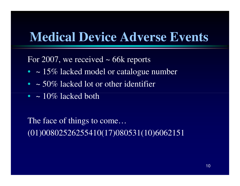#### **Medical Device Adverse Events**

For 2007, we received  $\sim$  66k reports

- $\bullet$   $\sim$  15% lacked model or catalogue number
- $\sim$  50% lacked lot or other identifier
- $\sim 10\%$  lacked both

The face of things to come…(01)00802526255410(17)080531(10)6062151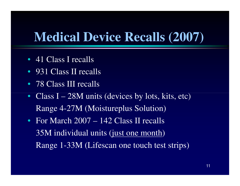#### **Medical Device Recalls (2007)**

- 41 Class I recalls
- 931 Class II recalls
- 78 Class III recalls
- $\bullet$ • Class I 28M units (devices by lots, kits, etc) Range 4-27M (Moistureplus Solution)
- For March 2007 142 Class II recalls35M individual units (just one month)Range 1-33M (Lifescan one touch test strips)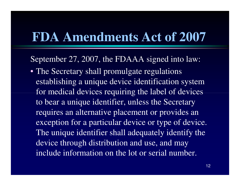#### **FDA Amendments Act of 2007**

September 27, 2007, the FDAAA signed into law:

• The Secretary shall promulgate regulations establishing a unique device identification system for medical devices requiring the label of devices to bear a unique identifier, unless the Secretary requires an alternative placement or provides an exception for a particular device or type of device. The unique identifier shall adequately identify thedevice through distribution and use, and may include information on the lot or serial number.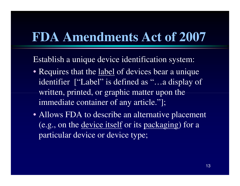#### **FDA Amendments Act of 2007**

Establish a unique device identification system:

- Requires that the label of devices bear a unique identifier ["Label" is defined as "…a display of written, printed, or graphic matter upon the immediate container of any article."];
- Allows FDA to describe an alternative placement (e.g., on the <u>device itself</u> or its <u>packaging</u>) for a particular device or device type;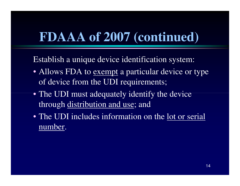## **FDAAA of 2007 (continued)**

Establish a unique device identification system:

- Allows FDA to <u>exempt</u> a particular device or type of device from the UDI requirements;
- The UDI must adequately identify the device through distribution and use; and
- The UDI includes information on the <u>lot or serial</u> number.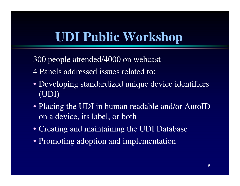### **UDI Public Workshop**

300 people attended/4000 on webcast

- 4 Panels addressed issues related to:
- Developing standardized unique device identifiers (UDI)
- Placing the UDI in human readable and/or AutoID on a device, its label, or both
- Creating and maintaining the UDI Database
- Promoting adoption and implementation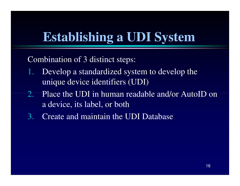# **Establishing a UDI System**

Combination of 3 distinct steps:

- 1. Develop a standardized system to develop the unique device identifiers (UDI)
- 2. Place the UDI in human readable and/or AutoID on a device, its label, or both
- 3.Create and maintain the UDI Database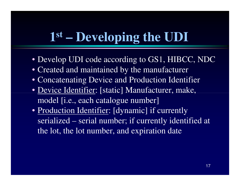## **1st – Developing the UDI**

- Develop UDI code according to GS1, HIBCC, NDC
- Created and maintained by the manufacturer
- Concatenating Device and Production Identifier
- <u>Device Identifier</u>: [static] Manufacturer, make, model [i.e., each catalogue number]
- Production Identifier: [dynamic] if currently serialized – serial number; if currently identified at the lot, the lot number, and expiration date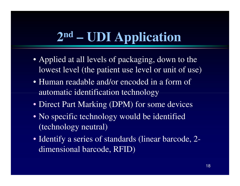## **2nd – UDI Application**

- Applied at all levels of packaging, down to the lowest level (the patient use level or unit of use)
- Human readable and/or encoded in a form of automatic identification technology
- Direct Part Marking (DPM) for some devices
- No specific technology would be identified (technology neutral)
- Identify a series of standards (linear barcode, 2 dimensional barcode, RFID)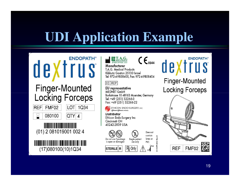# **UDI Application Example**

 $M$  Te T.A.G.

| <b>Finger-Mounted</b><br><b>Locking Forceps</b> |           |  |
|-------------------------------------------------|-----------|--|
| FMF02<br>080100                                 | 1Q34<br>4 |  |
| (01) 2 081019001 002 4                          |           |  |
| (17)080100(10)1Q34                              |           |  |

| <b>LET MEDICAL PRODUCTS</b>            |                      |
|----------------------------------------|----------------------|
| ת.א.ג. מכשירים רפואיים                 | $\mathcal{L}_{0344}$ |
| Manufacturer                           |                      |
| <b>T.A.G. Medical Products</b>         |                      |
| Kibbutz Gaaton 25130 Israel            |                      |
| Tel: 972-4-9858400, Fax: 972-4-9858404 |                      |

 $\epsilon$ 

#### EC REP

**EU** representative **MEDNET GmbH** Borkstrasse 10 48163 Muenster, Germany Tel: +49 (251) 32266-0 Fax: +49 (251) 32266-22



**Distributor** 

Ethicon Endo-Surgery Inc. Cincinnati OH 45242-2839 USA

**STERILE R** 

Does not contain

Do not use if package is open or damaged



R<sub>y</sub> Only

PVC

| $\blacktriangleright$ 45 | 50DC |
|--------------------------|------|
|                          |      |
|                          |      |
| ŋ-Л                      | í    |
|                          |      |



#### **Finger-Mounted Locking Forceps**

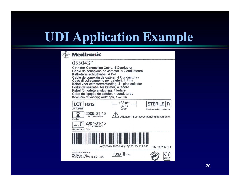## **UDI Application Example**

#### **Medtronic**

#### 05504SP

**PRE** 

Catheter Connecting Cable, 4 Conductor Câble de connexion de cathéter, 4 Conducteurs Katheteranschlußkabel, 4 Pol Cable de conexión de catéter, 4 Conductores Cavo di collegamento per cateteri, 4 Pins Kabel voor catheterverbinding, 4 - pins geleider Forbindelseskabel for kateter, 4 ledere Kabel för kateteranslutning, 4 ledare Cabo de ligação do cateter, 4 condutores Καλώδιο σύνδεσης καθετήρα, 4κλωνο

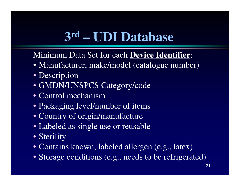## **3rd – UDI Database**

Minimum Data Set for each **Device Identifier**:

- Manufacturer, make/model (catalogue number)
- Description
- GMDN/UNSPCS Category/code
- Control mechanism
- Packaging level/number of items
- Country of origin/manufacture
- Labeled as single use or reusable
- Sterility
- Contains known, labeled allergen (e.g., latex)
- Storage conditions (e.g., needs to be refrigerated)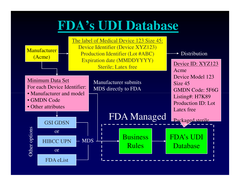## **FDA's UDI Database**

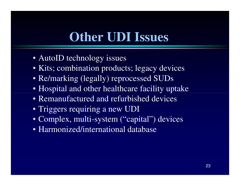## **Other UDI Issues**

- AutoID technology issues
- Kits; combination products; legacy devices
- Re/marking (legally) reprocessed SUDs
- Hospital and other healthcare facility uptake
- Remanufactured and refurbished devices
- Triggers requiring a new UDI
- Complex, multi-system ("capital") devices
- Harmonized/international database